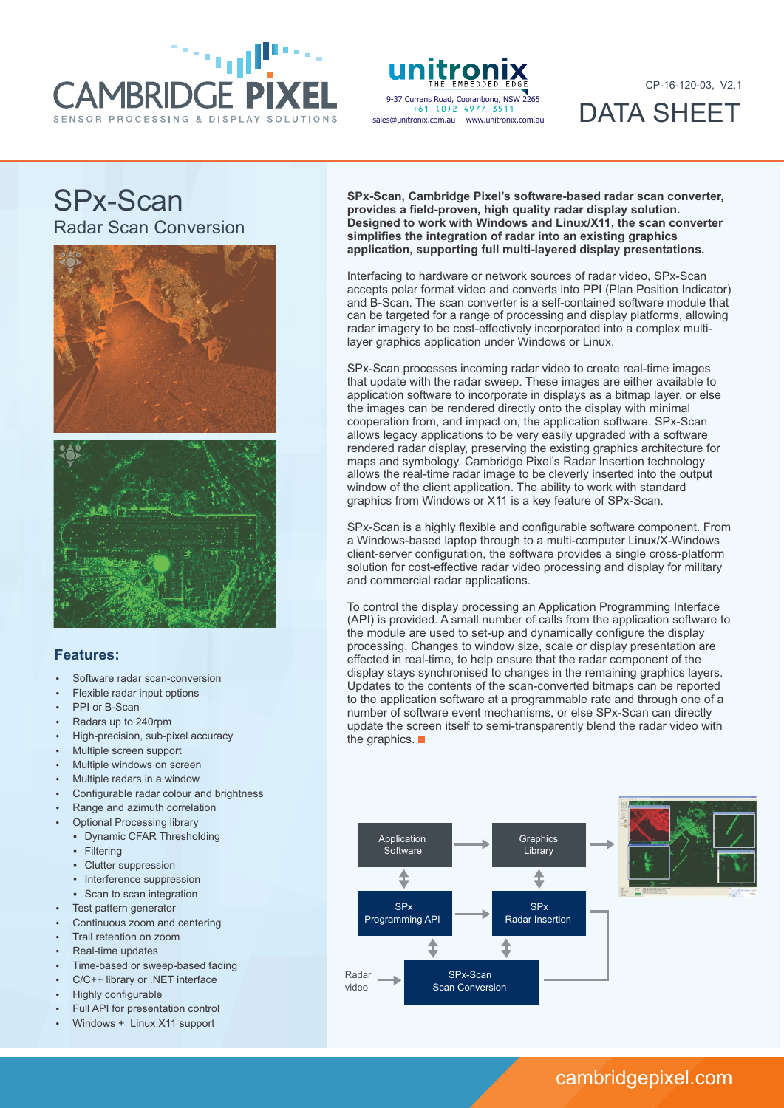

unitror 9-37 Currans Road, Cooranbong, NSW 2265 +61 (0)2 4977 3511sales@unitronix.com.au www.unitronix.com.au

CP-16-120-03, V2.1

DATA SHEET

# SPx-Scan Radar Scan Conversion





### **Features:**

- Software radar scan-conversion
- Flexible radar input options
- PPI or B-Scan
- Radars up to 240rpm
- High-precision, sub-pixel accuracy
- Multiple screen support
- Multiple windows on screen
- Multiple radars in a window
- Configurable radar colour and brightness
- Range and azimuth correlation
- **Optional Processing library** 
	- § Dynamic CFAR Thresholding
	- § Filtering
	- § Clutter suppression
	- Interference suppression
	- Scan to scan integration
- Test pattern generator
- Continuous zoom and centering
- Trail retention on zoom
- Real-time updates
- Time-based or sweep-based fading
- C/C++ library or .NET interface
- Highly configurable
- Full API for presentation control
- Windows + Linux X11 support

**SPx-Scan, Cambridge Pixel's software-based radar scan converter, provides a field-proven, high quality radar display solution. Designed to work with Windows and Linux/X11, the scan converter simplifies the integration of radar into an existing graphics application, supporting full multi-layered display presentations.**

Interfacing to hardware or network sources of radar video, SPx-Scan accepts polar format video and converts into PPI (Plan Position Indicator) and B-Scan. The scan converter is a self-contained software module that can be targeted for a range of processing and display platforms, allowing radar imagery to be cost-effectively incorporated into a complex multilayer graphics application under Windows or Linux.

SPx-Scan processes incoming radar video to create real-time images that update with the radar sweep. These images are either available to application software to incorporate in displays as a bitmap layer, or else the images can be rendered directly onto the display with minimal cooperation from, and impact on, the application software. SPx-Scan allows legacy applications to be very easily upgraded with a software rendered radar display, preserving the existing graphics architecture for maps and symbology. Cambridge Pixel's Radar Insertion technology allows the real-time radar image to be cleverly inserted into the output window of the client application. The ability to work with standard graphics from Windows or X11 is a key feature of SPx-Scan.

SPx-Scan is a highly flexible and configurable software component. From a Windows-based laptop through to a multi-computer Linux/X-Windows client-server configuration, the software provides a single cross-platform solution for cost-effective radar video processing and display for military and commercial radar applications.

To control the display processing an Application Programming Interface (API) is provided. A small number of calls from the application software to the module are used to set-up and dynamically configure the display processing. Changes to window size, scale or display presentation are effected in real-time, to help ensure that the radar component of the display stays synchronised to changes in the remaining graphics layers. Updates to the contents of the scan-converted bitmaps can be reported to the application software at a programmable rate and through one of a number of software event mechanisms, or else SPx-Scan can directly update the screen itself to semi-transparently blend the radar video with the graphics.